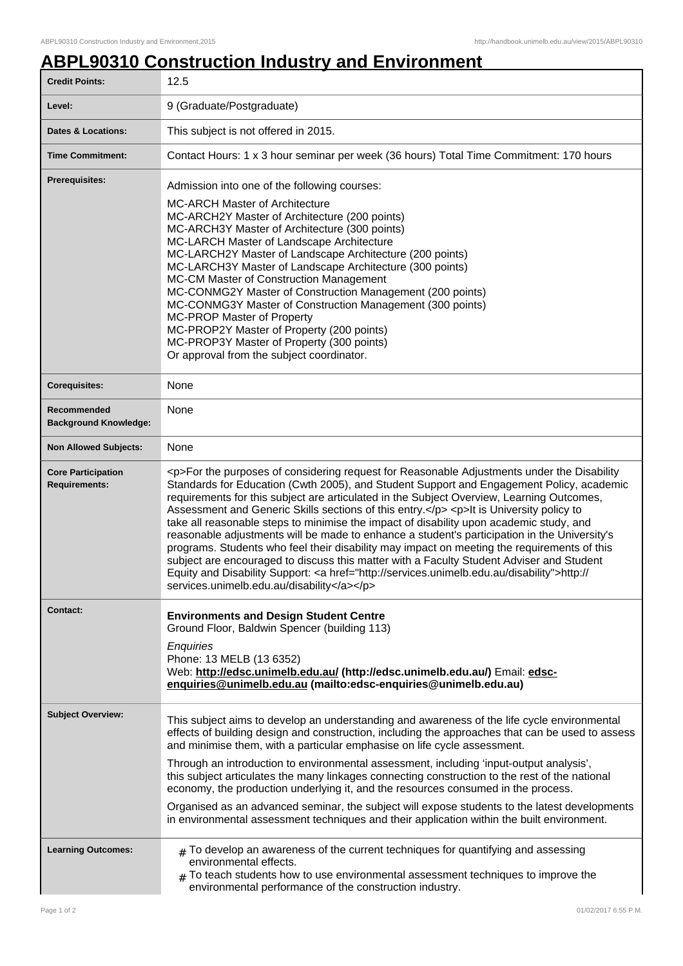## **ABPL90310 Construction Industry and Environment**

| <b>Credit Points:</b>                             | 12.5                                                                                                                                                                                                                                                                                                                                                                                                                                                                                                                                                                                                                                                                                                                                                                                                                                                                                                                         |
|---------------------------------------------------|------------------------------------------------------------------------------------------------------------------------------------------------------------------------------------------------------------------------------------------------------------------------------------------------------------------------------------------------------------------------------------------------------------------------------------------------------------------------------------------------------------------------------------------------------------------------------------------------------------------------------------------------------------------------------------------------------------------------------------------------------------------------------------------------------------------------------------------------------------------------------------------------------------------------------|
| Level:                                            | 9 (Graduate/Postgraduate)                                                                                                                                                                                                                                                                                                                                                                                                                                                                                                                                                                                                                                                                                                                                                                                                                                                                                                    |
| <b>Dates &amp; Locations:</b>                     | This subject is not offered in 2015.                                                                                                                                                                                                                                                                                                                                                                                                                                                                                                                                                                                                                                                                                                                                                                                                                                                                                         |
| <b>Time Commitment:</b>                           | Contact Hours: 1 x 3 hour seminar per week (36 hours) Total Time Commitment: 170 hours                                                                                                                                                                                                                                                                                                                                                                                                                                                                                                                                                                                                                                                                                                                                                                                                                                       |
| Prerequisites:                                    | Admission into one of the following courses:<br><b>MC-ARCH Master of Architecture</b><br>MC-ARCH2Y Master of Architecture (200 points)<br>MC-ARCH3Y Master of Architecture (300 points)<br>MC-LARCH Master of Landscape Architecture<br>MC-LARCH2Y Master of Landscape Architecture (200 points)<br>MC-LARCH3Y Master of Landscape Architecture (300 points)<br>MC-CM Master of Construction Management<br>MC-CONMG2Y Master of Construction Management (200 points)<br>MC-CONMG3Y Master of Construction Management (300 points)<br><b>MC-PROP Master of Property</b><br>MC-PROP2Y Master of Property (200 points)<br>MC-PROP3Y Master of Property (300 points)<br>Or approval from the subject coordinator.                                                                                                                                                                                                                |
| <b>Corequisites:</b>                              | None                                                                                                                                                                                                                                                                                                                                                                                                                                                                                                                                                                                                                                                                                                                                                                                                                                                                                                                         |
| Recommended<br><b>Background Knowledge:</b>       | None                                                                                                                                                                                                                                                                                                                                                                                                                                                                                                                                                                                                                                                                                                                                                                                                                                                                                                                         |
| <b>Non Allowed Subjects:</b>                      | None                                                                                                                                                                                                                                                                                                                                                                                                                                                                                                                                                                                                                                                                                                                                                                                                                                                                                                                         |
| <b>Core Participation</b><br><b>Requirements:</b> | <p>For the purposes of considering request for Reasonable Adjustments under the Disability<br/>Standards for Education (Cwth 2005), and Student Support and Engagement Policy, academic<br/>requirements for this subject are articulated in the Subject Overview, Learning Outcomes,<br/>Assessment and Generic Skills sections of this entry.</p> <p>lt is University policy to<br/>take all reasonable steps to minimise the impact of disability upon academic study, and<br/>reasonable adjustments will be made to enhance a student's participation in the University's<br/>programs. Students who feel their disability may impact on meeting the requirements of this<br/>subject are encouraged to discuss this matter with a Faculty Student Adviser and Student<br/>Equity and Disability Support: &lt; a href="http://services.unimelb.edu.au/disability"&gt;http://<br/>services.unimelb.edu.au/disability</p> |
| Contact:                                          | <b>Environments and Design Student Centre</b><br>Ground Floor, Baldwin Spencer (building 113)<br>Enquiries<br>Phone: 13 MELB (13 6352)<br>Web: http://edsc.unimelb.edu.au/ (http://edsc.unimelb.edu.au/) Email: edsc-<br>enquiries@unimelb.edu.au (mailto:edsc-enquiries@unimelb.edu.au)                                                                                                                                                                                                                                                                                                                                                                                                                                                                                                                                                                                                                                     |
| <b>Subject Overview:</b>                          | This subject aims to develop an understanding and awareness of the life cycle environmental<br>effects of building design and construction, including the approaches that can be used to assess<br>and minimise them, with a particular emphasise on life cycle assessment.<br>Through an introduction to environmental assessment, including 'input-output analysis',<br>this subject articulates the many linkages connecting construction to the rest of the national<br>economy, the production underlying it, and the resources consumed in the process.<br>Organised as an advanced seminar, the subject will expose students to the latest developments<br>in environmental assessment techniques and their application within the built environment.                                                                                                                                                                 |
| <b>Learning Outcomes:</b>                         | $*$ To develop an awareness of the current techniques for quantifying and assessing<br>environmental effects.<br>$#$ To teach students how to use environmental assessment techniques to improve the<br>environmental performance of the construction industry.                                                                                                                                                                                                                                                                                                                                                                                                                                                                                                                                                                                                                                                              |